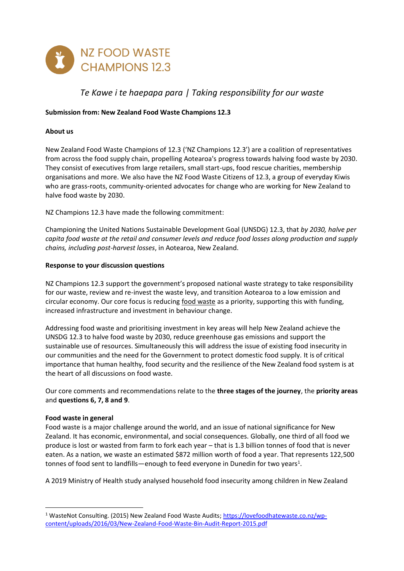

# *Te Kawe i te haepapa para | Taking responsibility for our waste*

## **Submission from: New Zealand Food Waste Champions 12.3**

#### **About us**

New Zealand Food Waste Champions of 12.3 ('NZ Champions 12.3') are a coalition of representatives from across the food supply chain, propelling Aotearoa's progress towards halving food waste by 2030. They consist of executives from large retailers, small start-ups, food rescue charities, membership organisations and more. We also have the NZ Food Waste Citizens of 12.3, a group of everyday Kiwis who are grass-roots, community-oriented advocates for change who are working for New Zealand to halve food waste by 2030.

NZ Champions 12.3 have made the following commitment:

Championing the United Nations Sustainable Development Goal (UNSDG) 12.3, that *by 2030, halve per capita food waste at the retail and consumer levels and reduce food losses along production and supply chains, including post-harvest losses*, in Aotearoa, New Zealand.

#### **Response to your discussion questions**

NZ Champions 12.3 support the government's proposed national waste strategy to take responsibility for our waste, review and re-invest the waste levy, and transition Aotearoa to a low emission and circular economy. Our core focus is reducing food waste as a priority, supporting this with funding, increased infrastructure and investment in behaviour change.

Addressing food waste and prioritising investment in key areas will help New Zealand achieve the UNSDG 12.3 to halve food waste by 2030, reduce greenhouse gas emissions and support the sustainable use of resources. Simultaneously this will address the issue of existing food insecurity in our communities and the need for the Government to protect domestic food supply. It is of critical importance that human healthy, food security and the resilience of the New Zealand food system is at the heart of all discussions on food waste.

Our core comments and recommendations relate to the **three stages of the journey**, the **priority areas** and **questions 6, 7, 8 and 9**.

#### **Food waste in general**

Food waste is a major challenge around the world, and an issue of national significance for New Zealand. It has economic, environmental, and social consequences. Globally, one third of all food we produce is lost or wasted from farm to fork each year – that is 1.3 billion tonnes of food that is never eaten. As a nation, we waste an estimated \$872 million worth of food a year. That represents 122,500 tonnes of food sent to landfills—enough to feed everyone in Dunedin for two years<sup>1</sup>.

A 2019 Ministry of Health study analysed household food insecurity among children in New Zealand

<sup>1</sup> WasteNot Consulting. (2015) New Zealand Food Waste Audits; [https://lovefoodhatewaste.co.nz/wp](https://lovefoodhatewaste.co.nz/wp-content/uploads/2016/03/New-Zealand-Food-Waste-Bin-Audit-Report-2015.pdf)[content/uploads/2016/03/New-Zealand-Food-Waste-Bin-Audit-Report-2015.pdf](https://lovefoodhatewaste.co.nz/wp-content/uploads/2016/03/New-Zealand-Food-Waste-Bin-Audit-Report-2015.pdf)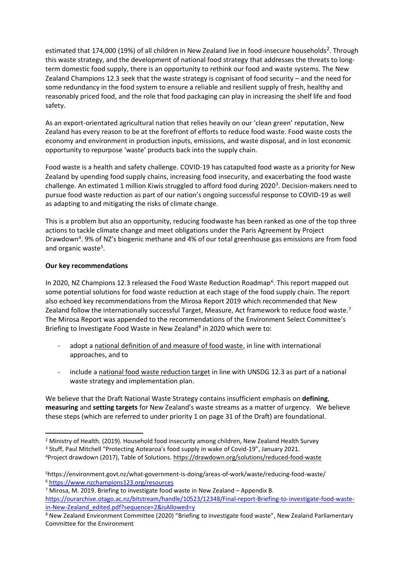estimated that 174,000 (19%) of all children in New Zealand live in food-insecure households<sup>2</sup>. Through this waste strategy, and the development of national food strategy that addresses the threats to longterm domestic food supply, there is an opportunity to rethink our food and waste systems. The New Zealand Champions 12.3 seek that the waste strategy is cognisant of food security – and the need for some redundancy in the food system to ensure a reliable and resilient supply of fresh, healthy and reasonably priced food, and the role that food packaging can play in increasing the shelf life and food safety.

As an export-orientated agricultural nation that relies heavily on our 'clean green' reputation, New Zealand has every reason to be at the forefront of efforts to reduce food waste. Food waste costs the economy and environment in production inputs, emissions, and waste disposal, and in lost economic opportunity to repurpose 'waste' products back into the supply chain.

Food waste is a health and safety challenge. COVID-19 has catapulted food waste as a priority for New Zealand by upending food supply chains, increasing food insecurity, and exacerbating the food waste challenge. An estimated 1 million Kiwis struggled to afford food during 2020<sup>3</sup>. Decision-makers need to pursue food waste reduction as part of our nation's ongoing successful response to COVID-19 as well as adapting to and mitigating the risks of climate change.

This is a problem but also an opportunity, reducing foodwaste has been ranked as one of the top three actions to tackle climate change and meet obligations under the Paris Agreement by Project Drawdown<sup>4</sup>. 9% of NZ's biogenic methane and 4% of our total greenhouse gas emissions are from food and organic waste<sup>5</sup>.

## **Our key recommendations**

In 2020, NZ Champions 12.3 released the Food Waste Reduction Roadmap<sup>6</sup>. This report mapped out some potential solutions for food waste reduction at each stage of the food supply chain. The report also echoed key recommendations from the Mirosa Report 2019 which recommended that New Zealand follow the internationally successful Target, Measure, Act framework to reduce food waste.<sup>7</sup> The Mirosa Report was appended to the recommendations of the Environment Select Committee's Briefing to Investigate Food Waste in New Zealand<sup>8</sup> in 2020 which were to:

- adopt a national definition of and measure of food waste, in line with international approaches, and to
- include a national food waste reduction target in line with UNSDG 12.3 as part of a national waste strategy and implementation plan.

We believe that the Draft National Waste Strategy contains insufficient emphasis on **defining**, **measuring** and **setting targets** for New Zealand's waste streams as a matter of urgency. We believe these steps (which are referred to under priority 1 on page 31 of the Draft) are foundational.

<sup>&</sup>lt;sup>2</sup> Ministry of Health. (2019). Household food insecurity among children, New Zealand Health Survey

<sup>&</sup>lt;sup>3</sup> Stuff, Paul Mitchell "Protecting Aotearoa's food supply in wake of Covid-19", January 2021.

<sup>4</sup>Project drawdown (2017), Table of Solutions[. https://drawdown.org/solutions/reduced-food-waste](https://drawdown.org/solutions/reduced-food-waste)

<sup>5</sup>https://environment.govt.nz/what-government-is-doing/areas-of-work/waste/reducing-food-waste/ <sup>6</sup> <https://www.nzchampions123.org/resources>

 $7$  Mirosa, M. 2019. Briefing to investigate food waste in New Zealand – Appendix B. [https://ourarchive.otago.ac.nz/bitstream/handle/10523/12348/Final-report-Briefing-to-investigate-food-waste](https://ourarchive.otago.ac.nz/bitstream/handle/10523/12348/Final-report-Briefing-to-investigate-food-waste-in-New-Zealand_edited.pdf?sequence=2&isAllowed=y)[in-New-Zealand\\_edited.pdf?sequence=2&isAllowed=y](https://ourarchive.otago.ac.nz/bitstream/handle/10523/12348/Final-report-Briefing-to-investigate-food-waste-in-New-Zealand_edited.pdf?sequence=2&isAllowed=y)

<sup>8</sup> New Zealand Environment Committee (2020) "Briefing to investigate food waste", New Zealand Parliamentary Committee for the Environment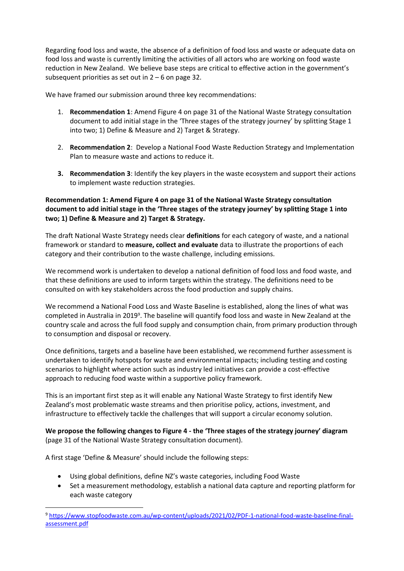Regarding food loss and waste, the absence of a definition of food loss and waste or adequate data on food loss and waste is currently limiting the activities of all actors who are working on food waste reduction in New Zealand. We believe base steps are critical to effective action in the government's subsequent priorities as set out in  $2 - 6$  on page 32.

We have framed our submission around three key recommendations:

- 1. **Recommendation 1**: Amend Figure 4 on page 31 of the National Waste Strategy consultation document to add initial stage in the 'Three stages of the strategy journey' by splitting Stage 1 into two; 1) Define & Measure and 2) Target & Strategy.
- 2. **Recommendation 2**: Develop a National Food Waste Reduction Strategy and Implementation Plan to measure waste and actions to reduce it.
- **3. Recommendation 3**: Identify the key players in the waste ecosystem and support their actions to implement waste reduction strategies.

# **Recommendation 1: Amend Figure 4 on page 31 of the National Waste Strategy consultation document to add initial stage in the 'Three stages of the strategy journey' by splitting Stage 1 into two; 1) Define & Measure and 2) Target & Strategy.**

The draft National Waste Strategy needs clear **definitions** for each category of waste, and a national framework or standard to **measure, collect and evaluate** data to illustrate the proportions of each category and their contribution to the waste challenge, including emissions.

We recommend work is undertaken to develop a national definition of food loss and food waste, and that these definitions are used to inform targets within the strategy. The definitions need to be consulted on with key stakeholders across the food production and supply chains.

We recommend a National Food Loss and Waste Baseline is established, along the lines of what was completed in Australia in 2019<sup>9</sup>. The baseline will quantify food loss and waste in New Zealand at the country scale and across the full food supply and consumption chain, from primary production through to consumption and disposal or recovery.

Once definitions, targets and a baseline have been established, we recommend further assessment is undertaken to identify hotspots for waste and environmental impacts; including testing and costing scenarios to highlight where action such as industry led initiatives can provide a cost-effective approach to reducing food waste within a supportive policy framework.

This is an important first step as it will enable any National Waste Strategy to first identify New Zealand's most problematic waste streams and then prioritise policy, actions, investment, and infrastructure to effectively tackle the challenges that will support a circular economy solution.

**We propose the following changes to Figure 4 - the 'Three stages of the strategy journey' diagram** (page 31 of the National Waste Strategy consultation document).

A first stage 'Define & Measure' should include the following steps:

- Using global definitions, define NZ's waste categories, including Food Waste
- Set a measurement methodology, establish a national data capture and reporting platform for each waste category

<sup>9</sup> [https://www.stopfoodwaste.com.au/wp-content/uploads/2021/02/PDF-1-national-food-waste-baseline-final](https://www.stopfoodwaste.com.au/wp-content/uploads/2021/02/PDF-1-national-food-waste-baseline-final-assessment.pdf)[assessment.pdf](https://www.stopfoodwaste.com.au/wp-content/uploads/2021/02/PDF-1-national-food-waste-baseline-final-assessment.pdf)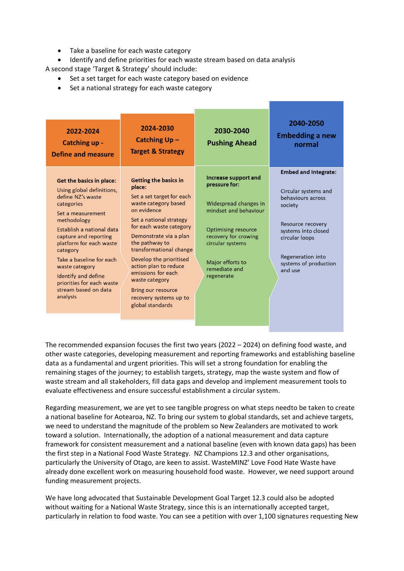- Take a baseline for each waste category
- Identify and define priorities for each waste stream based on data analysis

A second stage 'Target & Strategy' should include:

- Set a set target for each waste category based on evidence
- Set a national strategy for each waste category

| 2022-2024<br><b>Catching up -</b><br><b>Define and measure</b>                                                                                                                                                                                                                                                                                                         | 2024-2030<br>Catching Up-<br><b>Target &amp; Strategy</b>                                                                                                                                                                                                                                                                                                                                               | 2030-2040<br><b>Pushing Ahead</b>                                                                                                                                                                                    | 2040-2050<br><b>Embedding a new</b><br>normal                                                                                                                                                              |
|------------------------------------------------------------------------------------------------------------------------------------------------------------------------------------------------------------------------------------------------------------------------------------------------------------------------------------------------------------------------|---------------------------------------------------------------------------------------------------------------------------------------------------------------------------------------------------------------------------------------------------------------------------------------------------------------------------------------------------------------------------------------------------------|----------------------------------------------------------------------------------------------------------------------------------------------------------------------------------------------------------------------|------------------------------------------------------------------------------------------------------------------------------------------------------------------------------------------------------------|
| <b>Get the basics in place:</b><br>Using global definitions,<br>define NZ's waste<br>categories<br>Set a measurement<br>methodology<br>Establish a national data<br>capture and reporting<br>platform for each waste<br>category<br>Take a baseline for each<br>waste category<br>Identify and define<br>priorities for each waste<br>stream based on data<br>analysis | <b>Getting the basics in</b><br>place:<br>Set a set target for each<br>waste category based<br>on evidence<br>Set a national strategy<br>for each waste category<br>Demonstrate via a plan<br>the pathway to<br>transformational change<br>Develop the prioritised<br>action plan to reduce<br>emissions for each<br>waste category<br>Bring our resource<br>recovery systems up to<br>global standards | Increase support and<br>pressure for:<br>Widespread changes in<br>mindset and behaviour<br><b>Optimising resource</b><br>recovery for crowing<br>circular systems<br>Major efforts to<br>remediate and<br>regenerate | <b>Embed and Integrate:</b><br>Circular systems and<br>behaviours across<br>society<br>Resource recovery<br>systems into closed<br>circular loops<br>Regeneration into<br>systems of production<br>and use |

The recommended expansion focuses the first two years (2022 – 2024) on defining food waste, and other waste categories, developing measurement and reporting frameworks and establishing baseline data as a fundamental and urgent priorities. This will set a strong foundation for enabling the remaining stages of the journey; to establish targets, strategy, map the waste system and flow of waste stream and all stakeholders, fill data gaps and develop and implement measurement tools to evaluate effectiveness and ensure successful establishment a circular system.

Regarding measurement, we are yet to see tangible progress on what steps needto be taken to create a national baseline for Aotearoa, NZ. To bring our system to global standards, set and achieve targets, we need to understand the magnitude of the problem so New Zealanders are motivated to work toward a solution. Internationally, the adoption of a national measurement and data capture framework for consistent measurement and a national baseline (even with known data gaps) has been the first step in a National Food Waste Strategy. NZ Champions 12.3 and other organisations, particularly the University of Otago, are keen to assist. WasteMINZ' Love Food Hate Waste have already done excellent work on measuring household food waste. However, we need support around funding measurement projects.

We have long advocated that Sustainable Development Goal Target 12.3 could also be adopted without waiting for a National Waste Strategy, since this is an internationally accepted target, particularly in relation to food waste. You can see a petition with over 1,100 signatures requesting New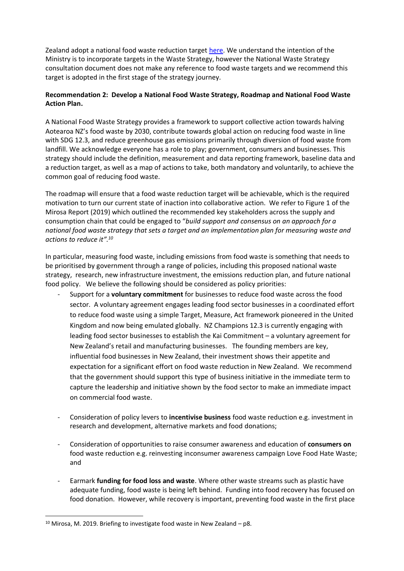Zealand adopt a national food waste reduction target [here.](https://our.actionstation.org.nz/petitions/halve-food-waste-by-2030) We understand the intention of the Ministry is to incorporate targets in the Waste Strategy, however the National Waste Strategy consultation document does not make any reference to food waste targets and we recommend this target is adopted in the first stage of the strategy journey.

# **Recommendation 2: Develop a National Food Waste Strategy, Roadmap and National Food Waste Action Plan.**

A National Food Waste Strategy provides a framework to support collective action towards halving Aotearoa NZ's food waste by 2030, contribute towards global action on reducing food waste in line with SDG 12.3, and reduce greenhouse gas emissions primarily through diversion of food waste from landfill. We acknowledge everyone has a role to play; government, consumers and businesses. This strategy should include the definition, measurement and data reporting framework, baseline data and a reduction target, as well as a map of actions to take, both mandatory and voluntarily, to achieve the common goal of reducing food waste.

The roadmap will ensure that a food waste reduction target will be achievable, which is the required motivation to turn our current state of inaction into collaborative action. We refer to Figure 1 of the Mirosa Report (2019) which outlined the recommended key stakeholders across the supply and consumption chain that could be engaged to "*build support and consensus on an approach for a national food waste strategy that sets a target and an implementation plan for measuring waste and actions to reduce it".<sup>10</sup>*

In particular, measuring food waste, including emissions from food waste is something that needs to be prioritised by government through a range of policies, including this proposed national waste strategy, research, new infrastructure investment, the emissions reduction plan, and future national food policy. We believe the following should be considered as policy priorities:

- Support for a **voluntary commitment** for businesses to reduce food waste across the food sector. A voluntary agreement engages leading food sector businesses in a coordinated effort to reduce food waste using a simple Target, Measure, Act framework pioneered in the United Kingdom and now being emulated globally. NZ Champions 12.3 is currently engaging with leading food sector businesses to establish the Kai Commitment – a voluntary agreement for New Zealand's retail and manufacturing businesses. The founding members are key, influential food businesses in New Zealand, their investment shows their appetite and expectation for a significant effort on food waste reduction in New Zealand. We recommend that the government should support this type of business initiative in the immediate term to capture the leadership and initiative shown by the food sector to make an immediate impact on commercial food waste.
- Consideration of policy levers to **incentivise business** food waste reduction e.g. investment in research and development, alternative markets and food donations;
- Consideration of opportunities to raise consumer awareness and education of **consumers on** food waste reduction e.g. reinvesting inconsumer awareness campaign Love Food Hate Waste; and
- Earmark **funding for food loss and waste**. Where other waste streams such as plastic have adequate funding, food waste is being left behind. Funding into food recovery has focused on food donation. However, while recovery is important, preventing food waste in the first place

 $10$  Mirosa, M. 2019. Briefing to investigate food waste in New Zealand – p8.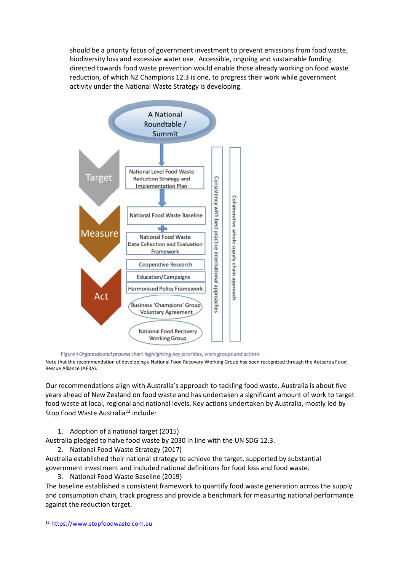should be a priority focus of government investment to prevent emissions from food waste, biodiversity loss and excessive water use. Accessible, ongoing and sustainable funding directed towards food waste prevention would enable those already working on food waste reduction, of which NZ Champions 12.3 is one, to progress their work while government activity under the National Waste Strategy is developing.



Figure 1 Organisational process chart highlighting key priorities, work groups and actions

Note that the recommendation of developing a National Food Recovery Working Group has been recognized through the Aotearoa Food Rescue Alliance (AFRA).

Our recommendations align with Australia's approach to tackling food waste. Australia is about five years ahead of New Zealand on food waste and has undertaken a significant amount of work to target food waste at local, regional and national levels. Key actions undertaken by Australia, mostly led by Stop Food Waste Australia*<sup>11</sup>* include:

1. Adoption of a national target (2015)

Australia pledged to halve food waste by 2030 in line with the UN SDG 12.3.

2. National Food Waste Strategy (2017)

Australia established their national strategy to achieve the target, supported by substantial government investment and included national definitions for food loss and food waste.

3. National Food Waste Baseline (2019)

The baseline established a consistent framework to quantify food waste generation across the supply and consumption chain, track progress and provide a benchmark for measuring national performance against the reduction target.

<sup>11</sup> [https://www.stopfoodwaste.com.au](https://www.stopfoodwaste.com.au/)